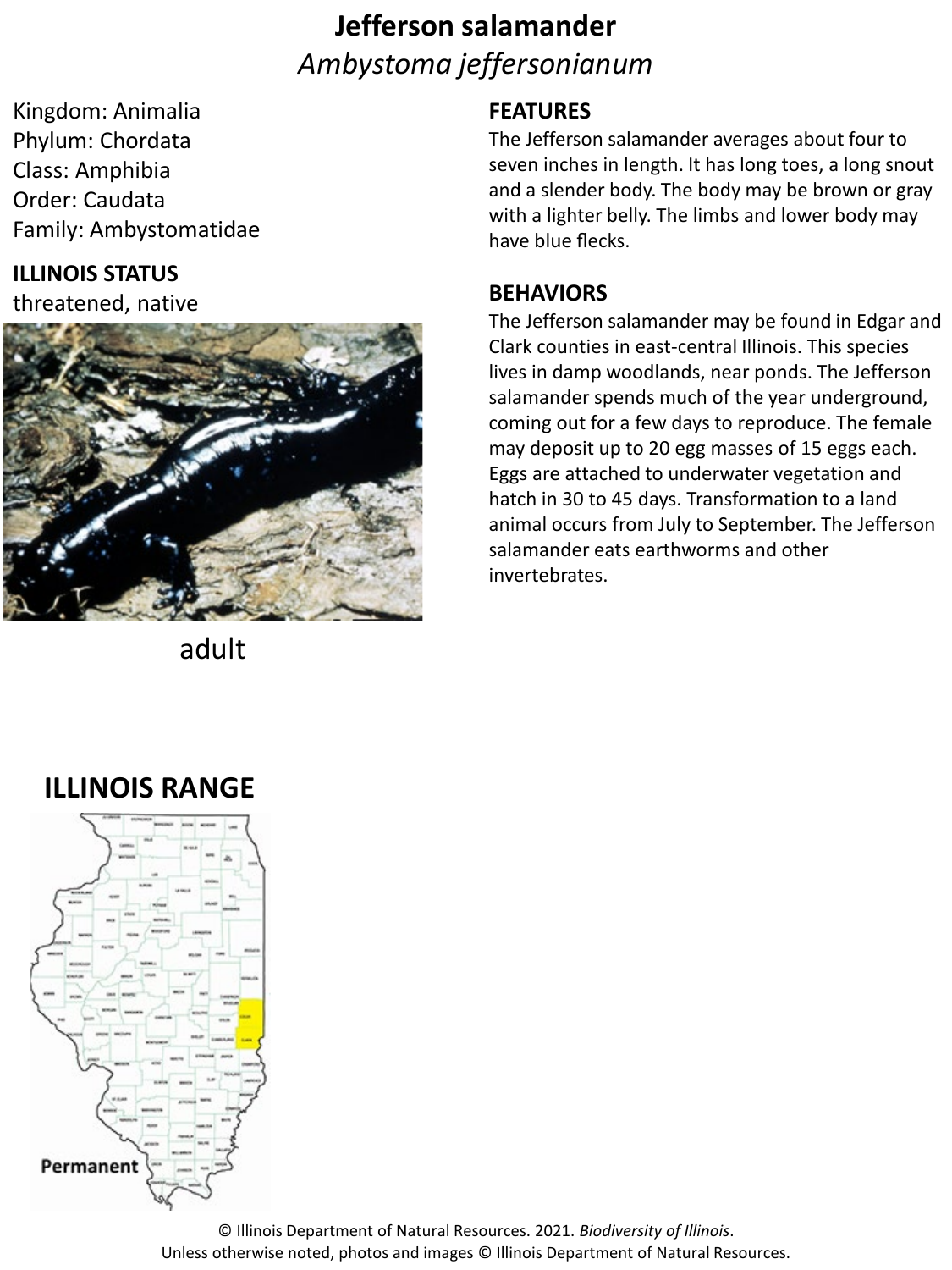# **Jefferson salamander** *Ambystoma jeffersonianum*

Kingdom: Animalia Phylum: Chordata Class: Amphibia Order: Caudata Family: Ambystomatidae

### **ILLINOIS STATUS**

threatened, native



adult

#### **FEATURES**

The Jefferson salamander averages about four to seven inches in length. It has long toes, a long snout and a slender body. The body may be brown or gray with a lighter belly. The limbs and lower body may have blue flecks.

#### **BEHAVIORS**

The Jefferson salamander may be found in Edgar and Clark counties in east-central Illinois. This species lives in damp woodlands, near ponds. The Jefferson salamander spends much of the year underground, coming out for a few days to reproduce. The female may deposit up to 20 egg masses of 15 eggs each. Eggs are attached to underwater vegetation and hatch in 30 to 45 days. Transformation to a land animal occurs from July to September. The Jefferson salamander eats earthworms and other invertebrates.

## **ILLINOIS RANGE**



© Illinois Department of Natural Resources. 2021. *Biodiversity of Illinois*. Unless otherwise noted, photos and images © Illinois Department of Natural Resources.